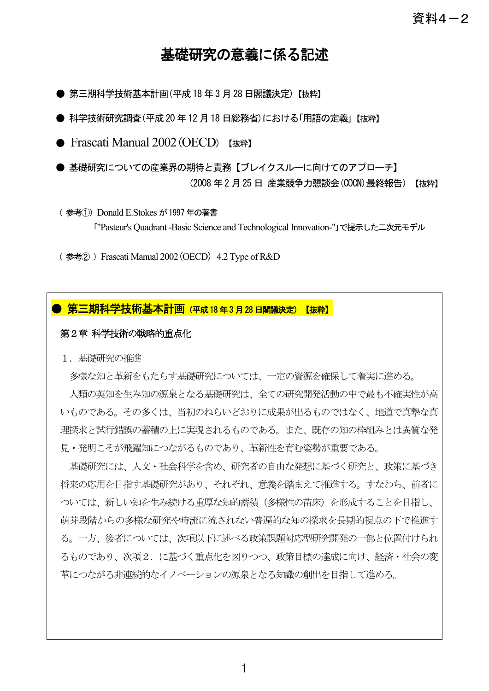# 基礎研究の意義に係る記述

- 第三期科学技術基本計画(平成 18 年 3 月 28 日閣議決定)【抜粋】
- 科学技術研究調査(平成 20 年 12 月 18 日総務省)における「用語の定義」 【抜粋】
- **Frascati Manual 2002 (OECD)**  $\tau$
- ▶ 基礎研究についての産業界の期待と青務【ブレイクスルーに向けてのアプローチ】 (2008年2月25日 産業競争力懇談会(COCN)最終報告) 【抜粋】
- (参考1) Donald E.Stokes が 1997 年の著書 「"Pasteur's Quadrant -Basic Science and Technological Innovation-"」で提示した二次元モデル

(参考2) Frascati Manual 2002 (OECD) 4.2 Type of R&D

# ● 第三期科学技術基本計画 (平成18年3月28日閣議決定) 【抜粋】

#### 第2章 科学技術の戦略的重点化

1. 基礎研究の推進

多様な知と革新をもたらす基礎研究については、一定の資源を確保して着実に進める。

人類の英知を生み知の源泉となる基礎研究は、全ての研究開発活動の中で最も不確実性が高 いものである。その多くは、当初のねらいどおりに成果が出るものではなく、地道で真摯な真 理探求と試行錯誤の蓄積の上に実現されるものである。また、既存の知の枠組みとは異質な発 見・発明こそが飛躍知につながるものであり、革新性を育む姿勢が重要である。

基礎研究には、人文・社会科学を含め、研究者の自由な発想に基づく研究と、政策に基づき 将来の応用を目指す基礎研究があり、それぞれ、意義を踏まえて推進する。すなわち、前者に ついては、新しい知を生み続ける重厚な知的蓄積(多様性の苗床)を形成することを目指し、 萌芽段階からの多様な研究や時流に流されない普遍的な知の探求を長期的視点の下で推進す る。一方、後者については、次項以下に述べる政策課題対応型研究開発の一部と位置付けられ るものであり、次項2. に基づく重点化を図りつつ、政策目標の達成に向け、経済・社会の変 革につながる非連続的なイノベーションの源泉となる知識の創出を目指して進める。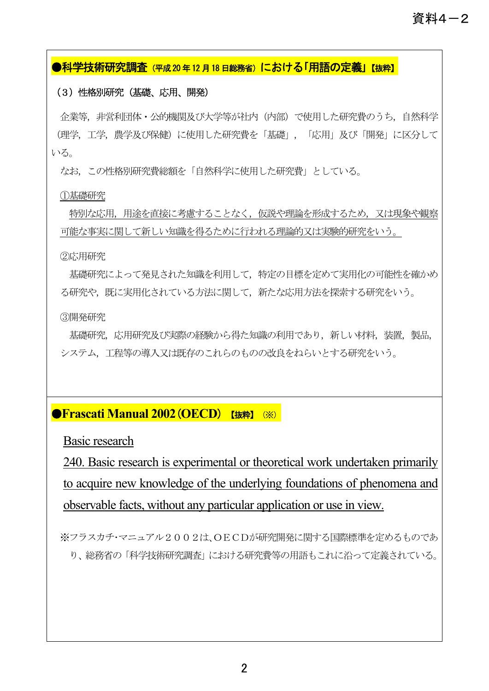●科学技術研究調査 (平成20年12月18日総務省) における「用語の定義」【抜粋】

### (3) 性格別研究 (基礎、応用、開発)

企業等、非営利団体・公的機関及び大学等が社内(内部)で使用した研究費のうち、自然科学 (理学、工学、農学及び保健)に使用した研究費を「基礎」、「応用」及び「開発」に区分して いる。

なお、この性格別研究費総額を「自然科学に使用した研究費」としている。

### 1)基礎研究

特別な応用、用涂を直接に考慮することなく、仮説や理論を形成するため、又は現象や観察 可能な事実に関して新しい知識を得るために行われる理論的又は実験的研究をいう。

### ②応用研究

基礎研究によって発見された知識を利用して、特定の目標を定めて実用化の可能性を確かめ る研究や、既に実用化されている方法に関して、新たな応用方法を探索する研究をいう。

### 3開発研究

基礎研究、応用研究及び実際の経験から得た知識の利用であり、新しい材料、装置、製品、 システム、工程等の導入又は既存のこれらのものの改良をねらいとする研究をいう。

# ●Frascati Manual 2002 (OECD) 【抜粋】 (※)

Basic research

240. Basic research is experimental or theoretical work undertaken primarily to acquire new knowledge of the underlying foundations of phenomena and observable facts, without any particular application or use in view.

※フラスカチ・マニュアル2002は、OECDが研究開発に関する国際標準を定めるものであ り、総務省の「科学技術研究調査」における研究費等の用語もこれに沿って定義されている。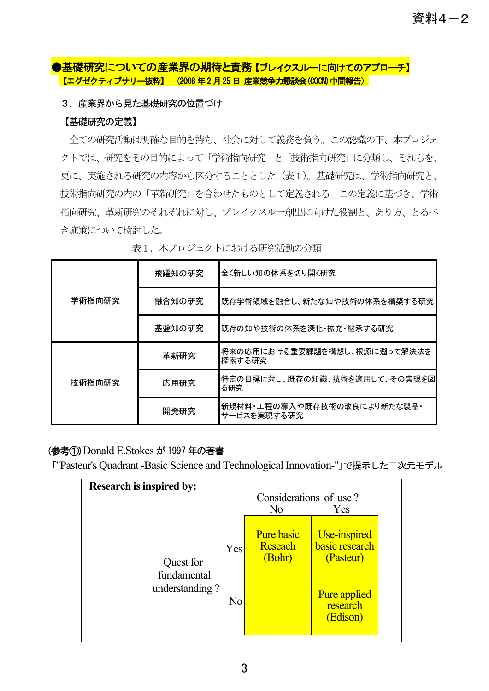## ●基礎研究についての産業界の期待と責務【ブレイクスルーに向けてのアプローチ】 【エグゼクティブサリ一抜粋】 (2008年2月25日 産業競争力懇談会(COCN)中間報告)

3. 産業界から見た基礎研究の位置づけ

### 【基礎研究の定義】

全ての研究活動は明確な目的を持ち、社会に対して義務を負う。この認識の下、本プロジェ クトでは、研究をその目的によって「学術指向研究」と「技術指向研究」に分類し、それらを、 更に、実施される研究の内容から区分することとした (表1)。基礎研究は、学術指向研究と、 技術指向研究の内の「革新研究」を合わせたものとして定義される。この定義に基づき、学術 指向研究、革新研究のそれぞれに対し、ブレイクスルー創出に向けた役割と、あり方、とるべ き施策について検討した。

| 学術指向研究 | 飛躍知の研究 | 全く新しい知の体系を切り開く研究                           |  |
|--------|--------|--------------------------------------------|--|
|        | 融合知の研究 | 既存学術領域を融合し、新たな知や技術の体系を構築する研究               |  |
|        | 基盤知の研究 | 既存の知や技術の体系を深化・拡充・継承する研究                    |  |
| 技術指向研究 | 革新研究   | 将来の応用における重要課題を構想し、根源に遡って解決法を<br>探索する研究     |  |
|        | 応用研究   | 特定の目標に対し、既存の知識、技術を適用して、その実現を図<br>る研究       |  |
|        | 開発研究   | 新規材料・工程の導入や既存技術の改良により新たな製品・<br>サービスを実現する研究 |  |

表1. 本プロジェクトにおける研究活動の分類

## (参考①) Donald E.Stokes が 1997 年の著書

「"Pasteur's Quadrant -Basic Science and Technological Innovation-"」で提示した二次元モデル

| <b>Research is inspired by:</b> | Considerations of use?<br>N <sub>0</sub><br>Yes |                                        |                                                    |
|---------------------------------|-------------------------------------------------|----------------------------------------|----------------------------------------------------|
| Quest for<br>fundamental        | Yes                                             | <b>Pure basic</b><br>Reseach<br>(Bohr) | Use-inspired<br><b>basic research</b><br>(Pasteur) |
| understanding?                  | N <sub>0</sub>                                  |                                        | <b>Pure applied</b><br>research<br>(Edison)        |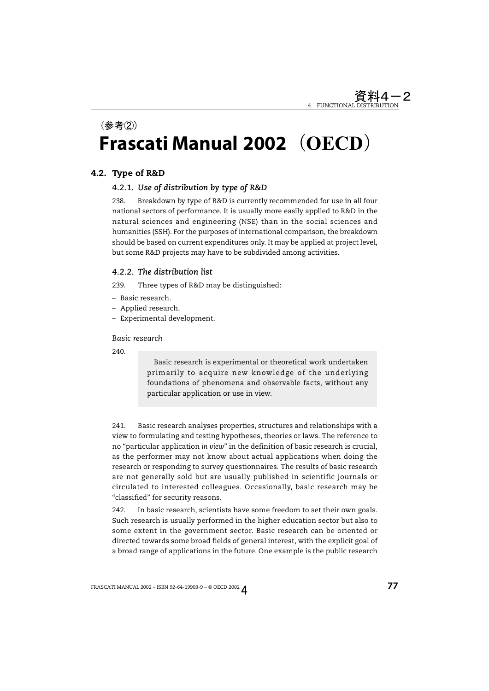#### $\mathcal{L} = \mathcal{L} \times \mathcal{L} = \mathcal{L} \times \mathcal{L} \times \mathcal{L} = \mathcal{L} \times \mathcal{L} \times \mathcal{L} = \mathcal{L} \times \mathcal{L} \times \mathcal{L}$ rascati wianual 2002 "UNCTD" m (参考2) **Frascati Manual 2002**㸦**OECD**㸧

#### **4.2. Type of R&D**

#### *4.2.1. Use of distribution by type of R&D*

238. Breakdown by type of R&D is currently recommended for use in all four national sectors of performance. It is usually more easily applied to R&D in the natural sciences and engineering (NSE) than in the social sciences and humanities (SSH). For the purposes of international comparison, the breakdown should be based on current expenditures only. It may be applied at project level, but some R&D projects may have to be subdivided among activities.

#### *4.2.2. The distribution list*

239. Three types of R&D may be distinguished:

- Basic research.
- Applied research.
- Experimental development.

*Basic research*

 $240.$ 

Basic research is experimental or theoretical work undertaken primarily to acquire new knowledge of the underlying foundations of phenomena and observable facts, without any particular application or use in view.

241. Basic research analyses properties, structures and relationships with a view to formulating and testing hypotheses, theories or laws. The reference to no "particular application *in view*" in the definition of basic research is crucial, as the performer may not know about actual applications when doing the research or responding to survey questionnaires. The results of basic research are not generally sold but are usually published in scientific journals or circulated to interested colleagues. Occasionally, basic research may be "classified" for security reasons.

242. In basic research, scientists have some freedom to set their own goals. Such research is usually performed in the higher education sector but also to some extent in the government sector. Basic research can be oriented or directed towards some broad fields of general interest, with the explicit goal of a broad range of applications in the future. One example is the public research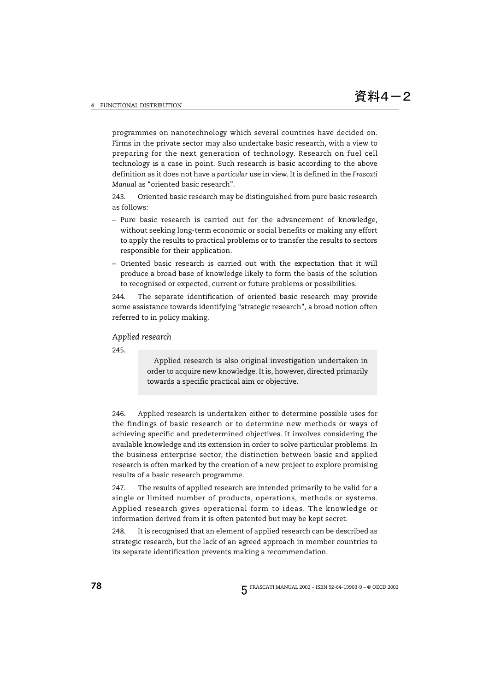programmes on nanotechnology which several countries have decided on. Firms in the private sector may also undertake basic research, with a view to preparing for the next generation of technology. Research on fuel cell technology is a case in point. Such research is basic according to the above definition as it does not have a *particular* use in view. It is defined in the *Frascati Manual* as "oriented basic research".

243. Oriented basic research may be distinguished from pure basic research as follows:

- Pure basic research is carried out for the advancement of knowledge, without seeking long-term economic or social benefits or making any effort to apply the results to practical problems or to transfer the results to sectors responsible for their application.
- Oriented basic research is carried out with the expectation that it will produce a broad base of knowledge likely to form the basis of the solution to recognised or expected, current or future problems or possibilities.

244. The separate identification of oriented basic research may provide some assistance towards identifying "strategic research", a broad notion often referred to in policy making.

*Applied research*

245.

Applied research is also original investigation undertaken in order to acquire new knowledge. It is, however, directed primarily towards a specific practical aim or objective.

246. Applied research is undertaken either to determine possible uses for the findings of basic research or to determine new methods or ways of achieving specific and predetermined objectives. It involves considering the available knowledge and its extension in order to solve particular problems. In the business enterprise sector, the distinction between basic and applied research is often marked by the creation of a new project to explore promising results of a basic research programme.

247. The results of applied research are intended primarily to be valid for a single or limited number of products, operations, methods or systems. Applied research gives operational form to ideas. The knowledge or information derived from it is often patented but may be kept secret.

248. It is recognised that an element of applied research can be described as strategic research, but the lack of an agreed approach in member countries to its separate identification prevents making a recommendation.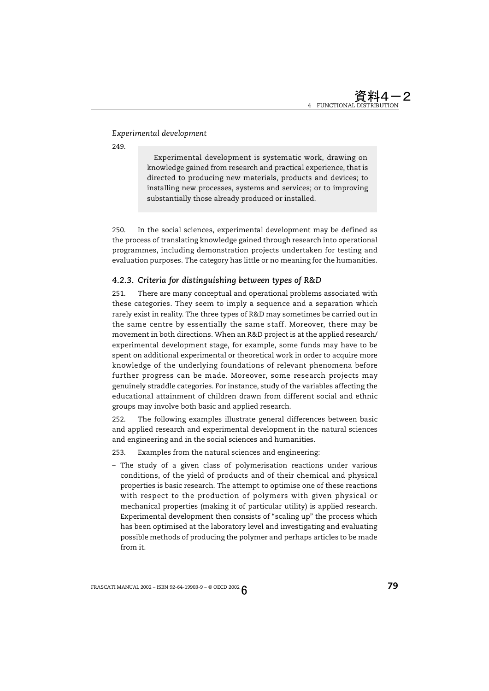#### *Experimental development*

249.

Experimental development is systematic work, drawing on knowledge gained from research and practical experience, that is directed to producing new materials, products and devices; to installing new processes, systems and services; or to improving substantially those already produced or installed.

250. In the social sciences, experimental development may be defined as the process of translating knowledge gained through research into operational programmes, including demonstration projects undertaken for testing and evaluation purposes. The category has little or no meaning for the humanities.

#### *4.2.3. Criteria for distinguishing between types of R&D*

251. There are many conceptual and operational problems associated with these categories. They seem to imply a sequence and a separation which rarely exist in reality. The three types of R&D may sometimes be carried out in the same centre by essentially the same staff. Moreover, there may be movement in both directions. When an R&D project is at the applied research/ experimental development stage, for example, some funds may have to be spent on additional experimental or theoretical work in order to acquire more knowledge of the underlying foundations of relevant phenomena before further progress can be made. Moreover, some research projects may genuinely straddle categories. For instance, study of the variables affecting the educational attainment of children drawn from different social and ethnic groups may involve both basic and applied research.

252. The following examples illustrate general differences between basic and applied research and experimental development in the natural sciences and engineering and in the social sciences and humanities.

253. Examples from the natural sciences and engineering:

– The study of a given class of polymerisation reactions under various conditions, of the yield of products and of their chemical and physical properties is basic research. The attempt to optimise one of these reactions with respect to the production of polymers with given physical or mechanical properties (making it of particular utility) is applied research. Experimental development then consists of "scaling up" the process which has been optimised at the laboratory level and investigating and evaluating possible methods of producing the polymer and perhaps articles to be made from it.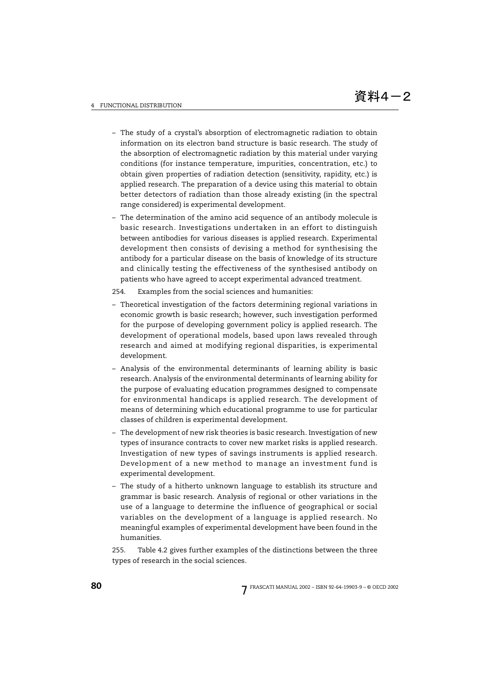- The study of a crystal's absorption of electromagnetic radiation to obtain information on its electron band structure is basic research. The study of the absorption of electromagnetic radiation by this material under varying conditions (for instance temperature, impurities, concentration, etc.) to obtain given properties of radiation detection (sensitivity, rapidity, etc.) is applied research. The preparation of a device using this material to obtain better detectors of radiation than those already existing (in the spectral range considered) is experimental development.
- The determination of the amino acid sequence of an antibody molecule is basic research. Investigations undertaken in an effort to distinguish between antibodies for various diseases is applied research. Experimental development then consists of devising a method for synthesising the antibody for a particular disease on the basis of knowledge of its structure and clinically testing the effectiveness of the synthesised antibody on patients who have agreed to accept experimental advanced treatment.

254. Examples from the social sciences and humanities:

- Theoretical investigation of the factors determining regional variations in economic growth is basic research; however, such investigation performed for the purpose of developing government policy is applied research. The development of operational models, based upon laws revealed through research and aimed at modifying regional disparities, is experimental development.
- Analysis of the environmental determinants of learning ability is basic research. Analysis of the environmental determinants of learning ability for the purpose of evaluating education programmes designed to compensate for environmental handicaps is applied research. The development of means of determining which educational programme to use for particular classes of children is experimental development.
- The development of new risk theories is basic research. Investigation of new types of insurance contracts to cover new market risks is applied research. Investigation of new types of savings instruments is applied research. Development of a new method to manage an investment fund is experimental development.
- The study of a hitherto unknown language to establish its structure and grammar is basic research. Analysis of regional or other variations in the use of a language to determine the influence of geographical or social variables on the development of a language is applied research. No meaningful examples of experimental development have been found in the humanities.

255. Table 4.2 gives further examples of the distinctions between the three types of research in the social sciences.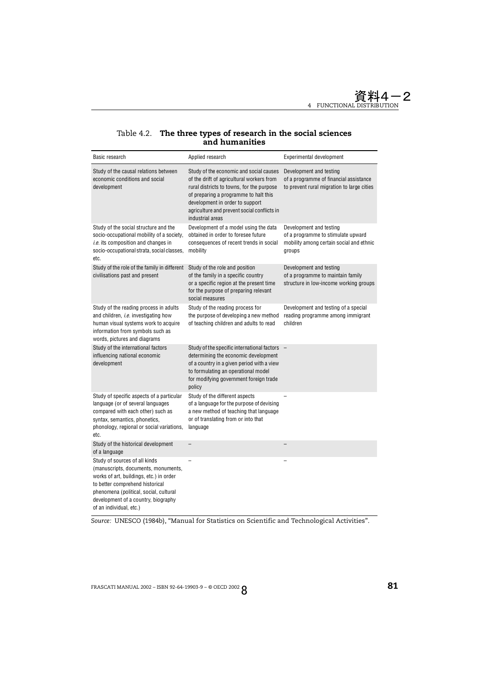#### Table 4.2. **The three types of research in the social sciences and humanities**

| Basic research                                                                                                                                                                                                                                                 | Applied research                                                                                                                                                                                                                                                                 | Experimental development                                                                                            |
|----------------------------------------------------------------------------------------------------------------------------------------------------------------------------------------------------------------------------------------------------------------|----------------------------------------------------------------------------------------------------------------------------------------------------------------------------------------------------------------------------------------------------------------------------------|---------------------------------------------------------------------------------------------------------------------|
| Study of the causal relations between<br>economic conditions and social<br>development                                                                                                                                                                         | Study of the economic and social causes<br>of the drift of agricultural workers from<br>rural districts to towns, for the purpose<br>of preparing a programme to halt this<br>development in order to support<br>agriculture and prevent social conflicts in<br>industrial areas | Development and testing<br>of a programme of financial assistance<br>to prevent rural migration to large cities     |
| Study of the social structure and the<br>socio-occupational mobility of a society,<br>i.e. its composition and changes in<br>socio-occupational strata, social classes,<br>etc.                                                                                | Development of a model using the data<br>obtained in order to foresee future<br>consequences of recent trends in social<br>mobility                                                                                                                                              | Development and testing<br>of a programme to stimulate upward<br>mobility among certain social and ethnic<br>groups |
| Study of the role of the family in different<br>civilisations past and present                                                                                                                                                                                 | Study of the role and position<br>of the family in a specific country<br>or a specific region at the present time<br>for the purpose of preparing relevant<br>social measures                                                                                                    | Development and testing<br>of a programme to maintain family<br>structure in low-income working groups              |
| Study of the reading process in adults<br>and children, <i>i.e.</i> investigating how<br>human visual systems work to acquire<br>information from symbols such as<br>words, pictures and diagrams                                                              | Study of the reading process for<br>the purpose of developing a new method<br>of teaching children and adults to read                                                                                                                                                            | Development and testing of a special<br>reading programme among immigrant<br>children                               |
| Study of the international factors<br>influencing national economic<br>development                                                                                                                                                                             | Study of the specific international factors $-$<br>determining the economic development<br>of a country in a given period with a view<br>to formulating an operational model<br>for modifying government foreign trade<br>policy                                                 |                                                                                                                     |
| Study of specific aspects of a particular<br>language (or of several languages<br>compared with each other) such as<br>syntax, semantics, phonetics,<br>phonology, regional or social variations,<br>etc.                                                      | Study of the different aspects<br>of a language for the purpose of devising<br>a new method of teaching that language<br>or of translating from or into that<br>language                                                                                                         |                                                                                                                     |
| Study of the historical development<br>of a language                                                                                                                                                                                                           | $\overline{\phantom{0}}$                                                                                                                                                                                                                                                         |                                                                                                                     |
| Study of sources of all kinds<br>(manuscripts, documents, monuments,<br>works of art, buildings, etc.) in order<br>to better comprehend historical<br>phenomena (political, social, cultural<br>development of a country, biography<br>of an individual, etc.) |                                                                                                                                                                                                                                                                                  |                                                                                                                     |

*Source:* UNESCO (1984b), "Manual for Statistics on Scientific and Technological Activities".